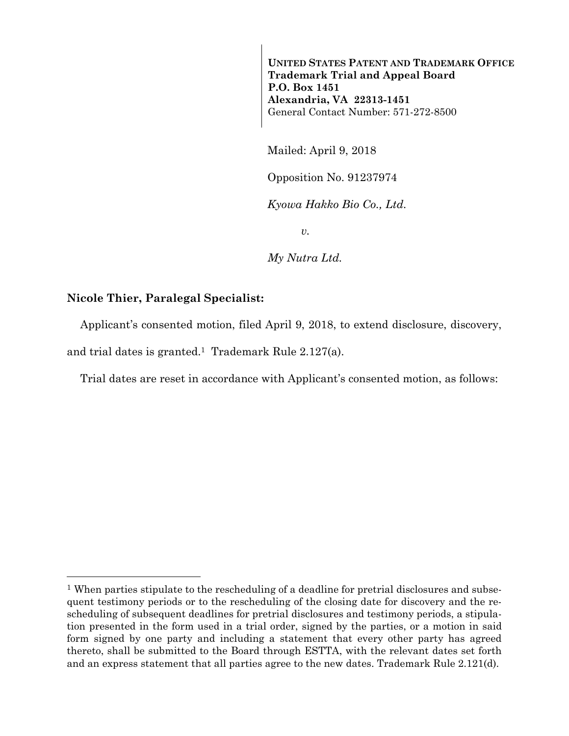**UNITED STATES PATENT AND TRADEMARK OFFICE Trademark Trial and Appeal Board P.O. Box 1451 Alexandria, VA 22313-1451**  General Contact Number: 571-272-8500

Mailed: April 9, 2018

Opposition No. 91237974

*Kyowa Hakko Bio Co., Ltd.* 

*v.* 

*My Nutra Ltd.* 

## **Nicole Thier, Paralegal Specialist:**

l

Applicant's consented motion, filed April 9, 2018, to extend disclosure, discovery,

and trial dates is granted.1 Trademark Rule 2.127(a).

Trial dates are reset in accordance with Applicant's consented motion, as follows:

<sup>&</sup>lt;sup>1</sup> When parties stipulate to the rescheduling of a deadline for pretrial disclosures and subsequent testimony periods or to the rescheduling of the closing date for discovery and the rescheduling of subsequent deadlines for pretrial disclosures and testimony periods, a stipulation presented in the form used in a trial order, signed by the parties, or a motion in said form signed by one party and including a statement that every other party has agreed thereto, shall be submitted to the Board through ESTTA, with the relevant dates set forth and an express statement that all parties agree to the new dates. Trademark Rule 2.121(d).